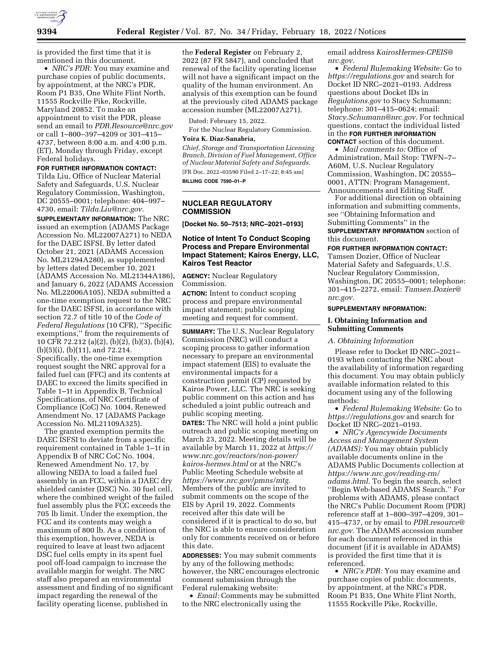

is provided the first time that it is mentioned in this document.

• *NRC's PDR:* You may examine and purchase copies of public documents, by appointment, at the NRC's PDR, Room P1 B35, One White Flint North, 11555 Rockville Pike, Rockville, Maryland 20852. To make an appointment to visit the PDR, please send an email to *[PDR.Resource@nrc.gov](mailto:PDR.Resource@nrc.gov)*  or call 1–800–397–4209 or 301–415– 4737, between 8:00 a.m. and 4:00 p.m. (ET), Monday through Friday, except Federal holidays.

#### **FOR FURTHER INFORMATION CONTACT:**

Tilda Liu, Office of Nuclear Material Safety and Safeguards, U.S. Nuclear Regulatory Commission, Washington, DC 20555–0001; telephone: 404–997–

4730, email: *[Tilda.Liu@nrc.gov.](mailto:Tilda.Liu@nrc.gov)*  **SUPPLEMENTARY INFORMATION:** The NRC issued an exemption (ADAMS Package Accession No. ML22007A271) to NEDA for the DAEC ISFSI. By letter dated October 21, 2021 (ADAMS Accession No. ML21294A280), as supplemented by letters dated December 10, 2021 (ADAMS Accession No. ML21344A186), and January 6, 2022 (ADAMS Accession No. ML22006A105), NEDA submitted a one-time exemption request to the NRC for the DAEC ISFSI, in accordance with section 72.7 of title 10 of the *Code of Federal Regulations* (10 CFR), ''Specific exemptions,'' from the requirements of 10 CFR 72.212 (a)(2), (b)(2), (b)(3), (b)(4), (b)(5)(i), (b)(11), and 72.214. Specifically, the one-time exemption request sought the NRC approval for a failed fuel can (FFC) and its contents at DAEC to exceed the limits specified in Table 1–1t in Appendix B, Technical Specifications, of NRC Certificate of Compliance (CoC) No. 1004, Renewed Amendment No. 17 (ADAMS Package Accession No. ML21109A325).

The granted exemption permits the DAEC ISFSI to deviate from a specific requirement contained in Table 1–1t in Appendix B of NRC CoC No. 1004, Renewed Amendment No. 17, by allowing NEDA to load a failed fuel assembly in an FCC, within a DAEC dry shielded canister (DSC) No. 30 fuel cell, where the combined weight of the failed fuel assembly plus the FCC exceeds the 705 lb limit. Under the exemption, the FCC and its contents may weigh a maximum of 800 lb. As a condition of this exemption, however, NEDA is required to leave at least two adjacent DSC fuel cells empty in its spent fuel pool off-load campaign to increase the available margin for weight. The NRC staff also prepared an environmental assessment and finding of no significant impact regarding the renewal of the facility operating license, published in

the **Federal Register** on February 2, 2022 (87 FR 5847), and concluded that renewal of the facility operating license will not have a significant impact on the quality of the human environment. An analysis of this exemption can be found at the previously cited ADAMS package accession number (ML22007A271).

Dated: February 15, 2022.

For the Nuclear Regulatory Commission. **Yoira K. Diaz-Sanabria,** 

*Chief, Storage and Transportation Licensing Branch, Division of Fuel Management, Office of Nuclear Material Safety and Safeguards.*  [FR Doc. 2022–03590 Filed 2–17–22; 8:45 am] **BILLING CODE 7590–01–P** 

# **NUCLEAR REGULATORY COMMISSION**

**[Docket No. 50–7513; NRC–2021–0193]** 

# **Notice of Intent To Conduct Scoping Process and Prepare Environmental Impact Statement; Kairos Energy, LLC, Kairos Test Reactor**

**AGENCY:** Nuclear Regulatory Commission.

**ACTION:** Intent to conduct scoping process and prepare environmental impact statement; public scoping meeting and request for comment.

**SUMMARY:** The U.S. Nuclear Regulatory Commission (NRC) will conduct a scoping process to gather information necessary to prepare an environmental impact statement (EIS) to evaluate the environmental impacts for a construction permit (CP) requested by Kairos Power, LLC. The NRC is seeking public comment on this action and has scheduled a joint public outreach and public scoping meeting.

**DATES:** The NRC will hold a joint public outreach and public scoping meeting on March 23, 2022. Meeting details will be available by March 11, 2022 at *[https://](https://www.nrc.gov/reactors/non-power/kairos-hermes.html)  [www.nrc.gov/reactors/non-power/](https://www.nrc.gov/reactors/non-power/kairos-hermes.html) [kairos-hermes.html](https://www.nrc.gov/reactors/non-power/kairos-hermes.html)* or at the NRC's Public Meeting Schedule website at *[https://www.nrc.gov/pmns/mtg.](https://www.nrc.gov/pmns/mtg)*  Members of the public are invited to submit comments on the scope of the EIS by April 19, 2022. Comments received after this date will be considered if it is practical to do so, but the NRC is able to ensure consideration only for comments received on or before this date.

**ADDRESSES:** You may submit comments by any of the following methods; however, the NRC encourages electronic comment submission through the Federal rulemaking website:

• *Email:* Comments may be submitted to the NRC electronically using the

email address *[KairosHermes-CPEIS@](mailto:KairosHermes-CPEIS@nrc.gov) [nrc.gov.](mailto:KairosHermes-CPEIS@nrc.gov)* 

• *Federal Rulemaking Website:* Go to *<https://regulations.gov>* and search for Docket ID NRC–2021–0193. Address questions about Docket IDs in *Regulations.gov* to Stacy Schumann; telephone: 301–415–0624; email: *[Stacy.Schumann@nrc.gov.](mailto:Stacy.Schumann@nrc.gov)* For technical questions, contact the individual listed in the **FOR FURTHER INFORMATION CONTACT** section of this document.

• *Mail comments to:* Office of Administration, Mail Stop: TWFN–7– A60M, U.S. Nuclear Regulatory Commission, Washington, DC 20555– 0001, ATTN: Program Management, Announcements and Editing Staff.

For additional direction on obtaining information and submitting comments, see ''Obtaining Information and Submitting Comments'' in the **SUPPLEMENTARY INFORMATION** section of this document.

## **FOR FURTHER INFORMATION CONTACT:**

Tamsen Dozier, Office of Nuclear Material Safety and Safeguards, U.S. Nuclear Regulatory Commission, Washington, DC 20555–0001; telephone: 301–415–2272, email: *[Tamsen.Dozier@](mailto:Tamsen.Dozier@nrc.gov) [nrc.gov.](mailto:Tamsen.Dozier@nrc.gov)* 

## **SUPPLEMENTARY INFORMATION:**

## **I. Obtaining Information and Submitting Comments**

#### *A. Obtaining Information*

Please refer to Docket ID NRC–2021– 0193 when contacting the NRC about the availability of information regarding this document. You may obtain publicly available information related to this document using any of the following methods:

• *Federal Rulemaking Website:* Go to *<https://regulations.gov>* and search for Docket ID NRC–2021–0193.

• *NRC's Agencywide Documents Access and Management System (ADAMS):* You may obtain publicly available documents online in the ADAMS Public Documents collection at *[https://www.nrc.gov/reading-rm/](https://www.nrc.gov/reading-rm/adams.html)  [adams.html.](https://www.nrc.gov/reading-rm/adams.html)* To begin the search, select ''Begin Web-based ADAMS Search.'' For problems with ADAMS, please contact the NRC's Public Document Room (PDR) reference staff at 1–800–397–4209, 301– 415–4737, or by email to *[PDR.resource@](mailto:PDR.resource@nrc.gov) [nrc.gov.](mailto:PDR.resource@nrc.gov)* The ADAMS accession number for each document referenced in this document (if it is available in ADAMS) is provided the first time that it is referenced.

• *NRC's PDR:* You may examine and purchase copies of public documents, by appointment, at the NRC's PDR, Room P1 B35, One White Flint North, 11555 Rockville Pike, Rockville,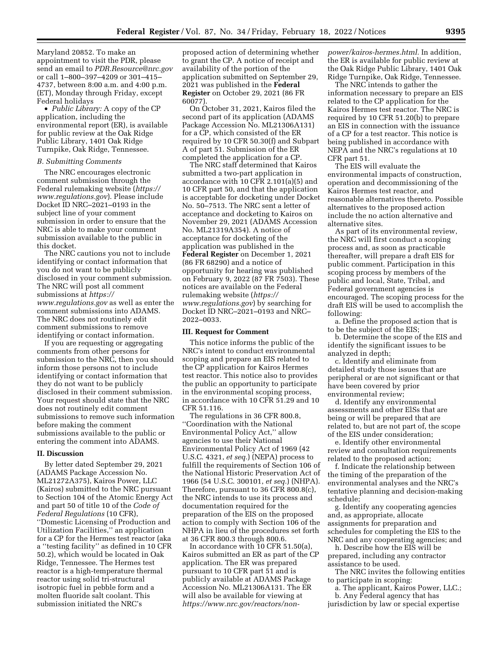Maryland 20852. To make an appointment to visit the PDR, please send an email to *[PDR.Resource@nrc.gov](mailto:PDR.Resource@nrc.gov)*  or call 1–800–397–4209 or 301–415– 4737, between 8:00 a.m. and 4:00 p.m. (ET), Monday through Friday, except Federal holidays

• *Public Library:* A copy of the CP application, including the environmental report (ER), is available for public review at the Oak Ridge Public Library, 1401 Oak Ridge Turnpike, Oak Ridge, Tennessee.

## *B. Submitting Comments*

The NRC encourages electronic comment submission through the Federal rulemaking website (*[https://](https://www.regulations.gov) [www.regulations.gov](https://www.regulations.gov)*). Please include Docket ID NRC–2021–0193 in the subject line of your comment submission in order to ensure that the NRC is able to make your comment submission available to the public in this docket.

The NRC cautions you not to include identifying or contact information that you do not want to be publicly disclosed in your comment submission. The NRC will post all comment submissions at *[https://](https://www.regulations.gov) [www.regulations.gov](https://www.regulations.gov)* as well as enter the comment submissions into ADAMS. The NRC does not routinely edit comment submissions to remove identifying or contact information.

If you are requesting or aggregating comments from other persons for submission to the NRC, then you should inform those persons not to include identifying or contact information that they do not want to be publicly disclosed in their comment submission. Your request should state that the NRC does not routinely edit comment submissions to remove such information before making the comment submissions available to the public or entering the comment into ADAMS.

#### **II. Discussion**

By letter dated September 29, 2021 (ADAMS Package Accession No. ML21272A375), Kairos Power, LLC (Kairos) submitted to the NRC pursuant to Section 104 of the Atomic Energy Act and part 50 of title 10 of the *Code of Federal Regulations* (10 CFR), ''Domestic Licensing of Production and Utilization Facilities,'' an application for a CP for the Hermes test reactor (aka a ''testing facility'' as defined in 10 CFR 50.2), which would be located in Oak Ridge, Tennessee. The Hermes test reactor is a high-temperature thermal reactor using solid tri-structural isotropic fuel in pebble form and a molten fluoride salt coolant. This submission initiated the NRC's

proposed action of determining whether to grant the CP. A notice of receipt and availability of the portion of the application submitted on September 29, 2021 was published in the **Federal Register** on October 29, 2021 (86 FR 60077).

On October 31, 2021, Kairos filed the second part of its application (ADAMS Package Accession No. ML21306A131) for a CP, which consisted of the ER required by 10 CFR 50.30(f) and Subpart A of part 51. Submission of the ER completed the application for a CP.

The NRC staff determined that Kairos submitted a two-part application in accordance with 10 CFR 2.101(a)(5) and 10 CFR part 50, and that the application is acceptable for docketing under Docket No. 50–7513. The NRC sent a letter of acceptance and docketing to Kairos on November 29, 2021 (ADAMS Accession No. ML21319A354). A notice of acceptance for docketing of the application was published in the **Federal Register** on December 1, 2021 (86 FR 68290) and a notice of opportunity for hearing was published on February 9, 2022 (87 FR 7503). These notices are available on the Federal rulemaking website (*[https://](https://www.regulations.gov) [www.regulations.gov](https://www.regulations.gov)*) by searching for Docket ID NRC–2021–0193 and NRC– 2022–0033.

#### **III. Request for Comment**

This notice informs the public of the NRC's intent to conduct environmental scoping and prepare an EIS related to the CP application for Kairos Hermes test reactor. This notice also to provides the public an opportunity to participate in the environmental scoping process, in accordance with 10 CFR 51.29 and 10 CFR 51.116.

The regulations in 36 CFR 800.8, ''Coordination with the National Environmental Policy Act,'' allow agencies to use their National Environmental Policy Act of 1969 (42 U.S.C. 4321, *et seq.*) (NEPA) process to fulfill the requirements of Section 106 of the National Historic Preservation Act of 1966 (54 U.S.C. 300101, *et seq.*) (NHPA). Therefore, pursuant to 36 CFR 800.8(c), the NRC intends to use its process and documentation required for the preparation of the EIS on the proposed action to comply with Section 106 of the NHPA in lieu of the procedures set forth at 36 CFR 800.3 through 800.6.

In accordance with 10 CFR 51.50(a), Kairos submitted an ER as part of the CP application. The ER was prepared pursuant to 10 CFR part 51 and is publicly available at ADAMS Package Accession No. ML21306A131. The ER will also be available for viewing at *[https://www.nrc.gov/reactors/non-](https://www.nrc.gov/reactors/non-power/kairos-hermes.html)* *[power/kairos-hermes.html.](https://www.nrc.gov/reactors/non-power/kairos-hermes.html)* In addition, the ER is available for public review at the Oak Ridge Public Library, 1401 Oak Ridge Turnpike, Oak Ridge, Tennessee.

The NRC intends to gather the information necessary to prepare an EIS related to the CP application for the Kairos Hermes test reactor. The NRC is required by 10 CFR 51.20(b) to prepare an EIS in connection with the issuance of a CP for a test reactor. This notice is being published in accordance with NEPA and the NRC's regulations at 10 CFR part 51.

The EIS will evaluate the environmental impacts of construction, operation and decommissioning of the Kairos Hermes test reactor, and reasonable alternatives thereto. Possible alternatives to the proposed action include the no action alternative and alternative sites.

As part of its environmental review, the NRC will first conduct a scoping process and, as soon as practicable thereafter, will prepare a draft EIS for public comment. Participation in this scoping process by members of the public and local, State, Tribal, and Federal government agencies is encouraged. The scoping process for the draft EIS will be used to accomplish the following:

a. Define the proposed action that is to be the subject of the EIS;

b. Determine the scope of the EIS and identify the significant issues to be analyzed in depth;

c. Identify and eliminate from detailed study those issues that are peripheral or are not significant or that have been covered by prior environmental review;

d. Identify any environmental assessments and other ElSs that are being or will be prepared that are related to, but are not part of, the scope of the EIS under consideration;

e. Identify other environmental review and consultation requirements related to the proposed action;

f. Indicate the relationship between the timing of the preparation of the environmental analyses and the NRC's tentative planning and decision-making schedule;

g. Identify any cooperating agencies and, as appropriate, allocate assignments for preparation and schedules for completing the EIS to the NRC and any cooperating agencies; and

h. Describe how the EIS will be prepared, including any contractor assistance to be used.

The NRC invites the following entities to participate in scoping:

a. The applicant, Kairos Power, LLC.; b. Any Federal agency that has jurisdiction by law or special expertise